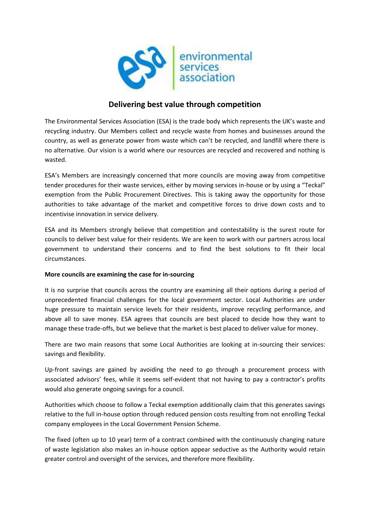

# **Delivering best value through competition**

The Environmental Services Association (ESA) is the trade body which represents the UK's waste and recycling industry. Our Members collect and recycle waste from homes and businesses around the country, as well as generate power from waste which can't be recycled, and landfill where there is no alternative. Our vision is a world where our resources are recycled and recovered and nothing is wasted.

ESA's Members are increasingly concerned that more councils are moving away from competitive tender procedures for their waste services, either by moving services in-house or by using a "Teckal" exemption from the Public Procurement Directives. This is taking away the opportunity for those authorities to take advantage of the market and competitive forces to drive down costs and to incentivise innovation in service delivery.

ESA and its Members strongly believe that competition and contestability is the surest route for councils to deliver best value for their residents. We are keen to work with our partners across local government to understand their concerns and to find the best solutions to fit their local circumstances.

## **More councils are examining the case for in-sourcing**

It is no surprise that councils across the country are examining all their options during a period of unprecedented financial challenges for the local government sector. Local Authorities are under huge pressure to maintain service levels for their residents, improve recycling performance, and above all to save money. ESA agrees that councils are best placed to decide how they want to manage these trade-offs, but we believe that the market is best placed to deliver value for money.

There are two main reasons that some Local Authorities are looking at in-sourcing their services: savings and flexibility.

Up-front savings are gained by avoiding the need to go through a procurement process with associated advisors' fees, while it seems self-evident that not having to pay a contractor's profits would also generate ongoing savings for a council.

Authorities which choose to follow a Teckal exemption additionally claim that this generates savings relative to the full in-house option through reduced pension costs resulting from not enrolling Teckal company employees in the Local Government Pension Scheme.

The fixed (often up to 10 year) term of a contract combined with the continuously changing nature of waste legislation also makes an in-house option appear seductive as the Authority would retain greater control and oversight of the services, and therefore more flexibility.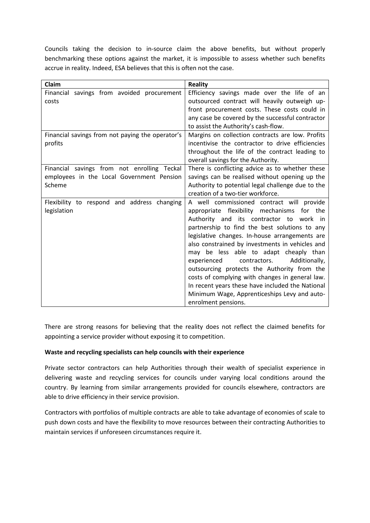Councils taking the decision to in-source claim the above benefits, but without properly benchmarking these options against the market, it is impossible to assess whether such benefits accrue in reality. Indeed, ESA believes that this is often not the case.

| Claim                                                                                              | <b>Reality</b>                                                                                                                                                                                                                                                                                                                                                                                                                                                                                                                                                                                                           |
|----------------------------------------------------------------------------------------------------|--------------------------------------------------------------------------------------------------------------------------------------------------------------------------------------------------------------------------------------------------------------------------------------------------------------------------------------------------------------------------------------------------------------------------------------------------------------------------------------------------------------------------------------------------------------------------------------------------------------------------|
| Financial savings from avoided procurement<br>costs                                                | Efficiency savings made over the life of an<br>outsourced contract will heavily outweigh up-<br>front procurement costs. These costs could in<br>any case be covered by the successful contractor<br>to assist the Authority's cash-flow.                                                                                                                                                                                                                                                                                                                                                                                |
| Financial savings from not paying the operator's<br>profits                                        | Margins on collection contracts are low. Profits<br>incentivise the contractor to drive efficiencies<br>throughout the life of the contract leading to<br>overall savings for the Authority.                                                                                                                                                                                                                                                                                                                                                                                                                             |
| Financial savings from not enrolling Teckal<br>employees in the Local Government Pension<br>Scheme | There is conflicting advice as to whether these<br>savings can be realised without opening up the<br>Authority to potential legal challenge due to the<br>creation of a two-tier workforce.                                                                                                                                                                                                                                                                                                                                                                                                                              |
| Flexibility to respond and address changing<br>legislation                                         | A well commissioned contract will provide<br>appropriate flexibility mechanisms<br>for the<br>Authority and its contractor to work<br>in in<br>partnership to find the best solutions to any<br>legislative changes. In-house arrangements are<br>also constrained by investments in vehicles and<br>may be less able to adapt cheaply than<br>contractors.<br>Additionally,<br>experienced<br>outsourcing protects the Authority from the<br>costs of complying with changes in general law.<br>In recent years these have included the National<br>Minimum Wage, Apprenticeships Levy and auto-<br>enrolment pensions. |

There are strong reasons for believing that the reality does not reflect the claimed benefits for appointing a service provider without exposing it to competition.

#### **Waste and recycling specialists can help councils with their experience**

Private sector contractors can help Authorities through their wealth of specialist experience in delivering waste and recycling services for councils under varying local conditions around the country. By learning from similar arrangements provided for councils elsewhere, contractors are able to drive efficiency in their service provision.

Contractors with portfolios of multiple contracts are able to take advantage of economies of scale to push down costs and have the flexibility to move resources between their contracting Authorities to maintain services if unforeseen circumstances require it.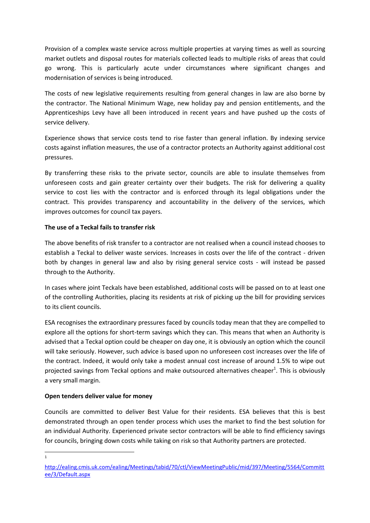Provision of a complex waste service across multiple properties at varying times as well as sourcing market outlets and disposal routes for materials collected leads to multiple risks of areas that could go wrong. This is particularly acute under circumstances where significant changes and modernisation of services is being introduced.

The costs of new legislative requirements resulting from general changes in law are also borne by the contractor. The National Minimum Wage, new holiday pay and pension entitlements, and the Apprenticeships Levy have all been introduced in recent years and have pushed up the costs of service delivery.

Experience shows that service costs tend to rise faster than general inflation. By indexing service costs against inflation measures, the use of a contractor protects an Authority against additional cost pressures.

By transferring these risks to the private sector, councils are able to insulate themselves from unforeseen costs and gain greater certainty over their budgets. The risk for delivering a quality service to cost lies with the contractor and is enforced through its legal obligations under the contract. This provides transparency and accountability in the delivery of the services, which improves outcomes for council tax payers.

## **The use of a Teckal fails to transfer risk**

The above benefits of risk transfer to a contractor are not realised when a council instead chooses to establish a Teckal to deliver waste services. Increases in costs over the life of the contract - driven both by changes in general law and also by rising general service costs - will instead be passed through to the Authority.

In cases where joint Teckals have been established, additional costs will be passed on to at least one of the controlling Authorities, placing its residents at risk of picking up the bill for providing services to its client councils.

ESA recognises the extraordinary pressures faced by councils today mean that they are compelled to explore all the options for short-term savings which they can. This means that when an Authority is advised that a Teckal option could be cheaper on day one, it is obviously an option which the council will take seriously. However, such advice is based upon no unforeseen cost increases over the life of the contract. Indeed, it would only take a modest annual cost increase of around 1.5% to wipe out projected savings from Teckal options and make outsourced alternatives cheaper<sup>1</sup>. This is obviously a very small margin.

## **Open tenders deliver value for money**

Councils are committed to deliver Best Value for their residents. ESA believes that this is best demonstrated through an open tender process which uses the market to find the best solution for an individual Authority. Experienced private sector contractors will be able to find efficiency savings for councils, bringing down costs while taking on risk so that Authority partners are protected.

**.** 1

[http://ealing.cmis.uk.com/ealing/Meetings/tabid/70/ctl/ViewMeetingPublic/mid/397/Meeting/5564/Committ](http://ealing.cmis.uk.com/ealing/Meetings/tabid/70/ctl/ViewMeetingPublic/mid/397/Meeting/5564/Committee/3/Default.aspx) [ee/3/Default.aspx](http://ealing.cmis.uk.com/ealing/Meetings/tabid/70/ctl/ViewMeetingPublic/mid/397/Meeting/5564/Committee/3/Default.aspx)